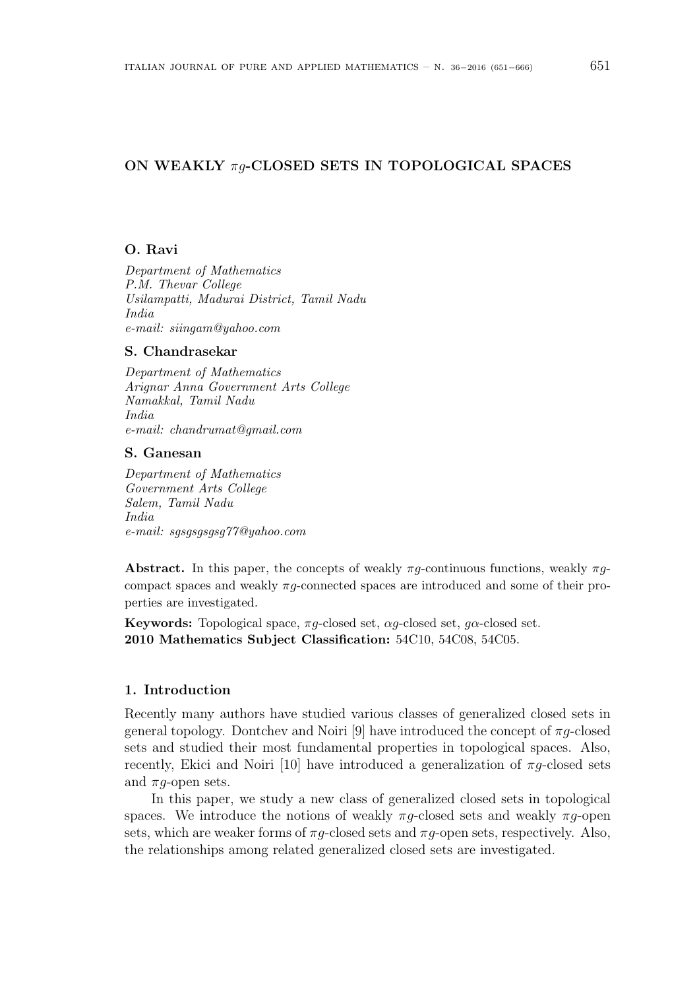# ON WEAKLY  $\pi g$ -CLOSED SETS IN TOPOLOGICAL SPACES

# O. Ravi

Department of Mathematics P.M. Thevar College Usilampatti, Madurai District, Tamil Nadu India e-mail: siingam@yahoo.com

#### S. Chandrasekar

Department of Mathematics Arignar Anna Government Arts College Namakkal, Tamil Nadu India e-mail: chandrumat@gmail.com

#### S. Ganesan

Department of Mathematics Government Arts College Salem, Tamil Nadu India e-mail: sgsgsgsgsg77@yahoo.com

**Abstract.** In this paper, the concepts of weakly  $\pi g$ -continuous functions, weakly  $\pi g$ compact spaces and weakly  $\pi q$ -connected spaces are introduced and some of their properties are investigated.

**Keywords:** Topological space,  $\pi g$ -closed set,  $\alpha g$ -closed set,  $g\alpha$ -closed set. 2010 Mathematics Subject Classification: 54C10, 54C08, 54C05.

## 1. Introduction

Recently many authors have studied various classes of generalized closed sets in general topology. Dontchev and Noiri [9] have introduced the concept of  $\pi q$ -closed sets and studied their most fundamental properties in topological spaces. Also, recently, Ekici and Noiri [10] have introduced a generalization of  $\pi g$ -closed sets and  $\pi q$ -open sets.

In this paper, we study a new class of generalized closed sets in topological spaces. We introduce the notions of weakly  $\pi g$ -closed sets and weakly  $\pi g$ -open sets, which are weaker forms of  $\pi g$ -closed sets and  $\pi g$ -open sets, respectively. Also, the relationships among related generalized closed sets are investigated.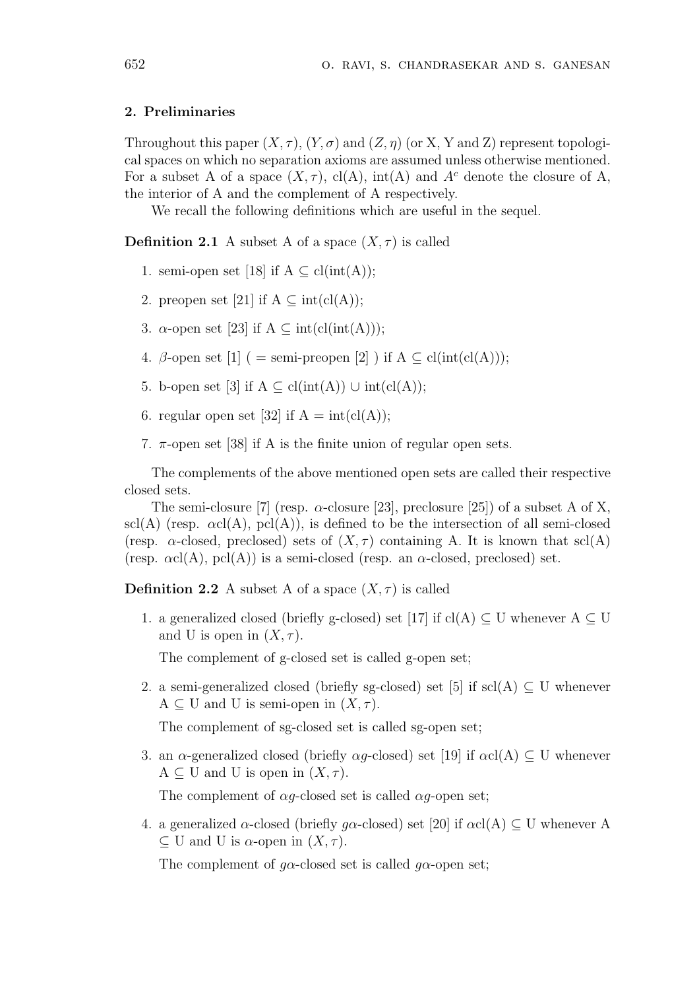## 2. Preliminaries

Throughout this paper  $(X, \tau)$ ,  $(Y, \sigma)$  and  $(Z, \eta)$  (or X, Y and Z) represent topological spaces on which no separation axioms are assumed unless otherwise mentioned. For a subset A of a space  $(X, \tau)$ , cl(A), int(A) and A<sup>c</sup> denote the closure of A, the interior of A and the complement of A respectively.

We recall the following definitions which are useful in the sequel.

**Definition 2.1** A subset A of a space  $(X, \tau)$  is called

- 1. semi-open set [18] if  $A \subseteq \text{cl(int(A))};$
- 2. preopen set [21] if  $A \subseteq \text{int}(\text{cl}(A));$
- 3.  $\alpha$ -open set [23] if  $A \subseteq \text{int}(\text{cl}(\text{int}(A)))$ ;
- 4. β-open set [1] ( = semi-preopen [2] ) if  $A \subseteq cl(int(cl(A)));$
- 5. b-open set [3] if  $A \subseteq \text{cl(int}(A)) \cup \text{int}(\text{cl}(A));$
- 6. regular open set [32] if  $A = int(cl(A));$
- 7.  $\pi$ -open set [38] if A is the finite union of regular open sets.

The complements of the above mentioned open sets are called their respective closed sets.

The semi-closure [7] (resp.  $\alpha$ -closure [23], preclosure [25]) of a subset A of X, scl(A) (resp.  $\alpha c l(A)$ ,  $\text{pcl}(A)$ ), is defined to be the intersection of all semi-closed (resp.  $\alpha$ -closed, preclosed) sets of  $(X, \tau)$  containing A. It is known that scl(A) (resp.  $\alpha cl(A)$ ,  $\text{pcl}(A)$ ) is a semi-closed (resp. an  $\alpha$ -closed, preclosed) set.

**Definition 2.2** A subset A of a space  $(X, \tau)$  is called

1. a generalized closed (briefly g-closed) set [17] if cl(A)  $\subset U$  whenever  $A \subset U$ and U is open in  $(X, \tau)$ .

The complement of g-closed set is called g-open set;

2. a semi-generalized closed (briefly sg-closed) set [5] if  $\text{scl}(A) \subseteq U$  whenever  $A \subseteq U$  and U is semi-open in  $(X, \tau)$ .

The complement of sg-closed set is called sg-open set;

3. an  $\alpha$ -generalized closed (briefly  $\alpha q$ -closed) set [19] if  $\alpha c(A) \subset U$  whenever  $A \subseteq U$  and U is open in  $(X, \tau)$ .

The complement of  $\alpha g$ -closed set is called  $\alpha g$ -open set;

4. a generalized  $\alpha$ -closed (briefly g $\alpha$ -closed) set [20] if  $\alpha$ cl(A)  $\subset U$  whenever A  $\subseteq$  U and U is  $\alpha$ -open in  $(X, \tau)$ .

The complement of  $g\alpha$ -closed set is called  $g\alpha$ -open set;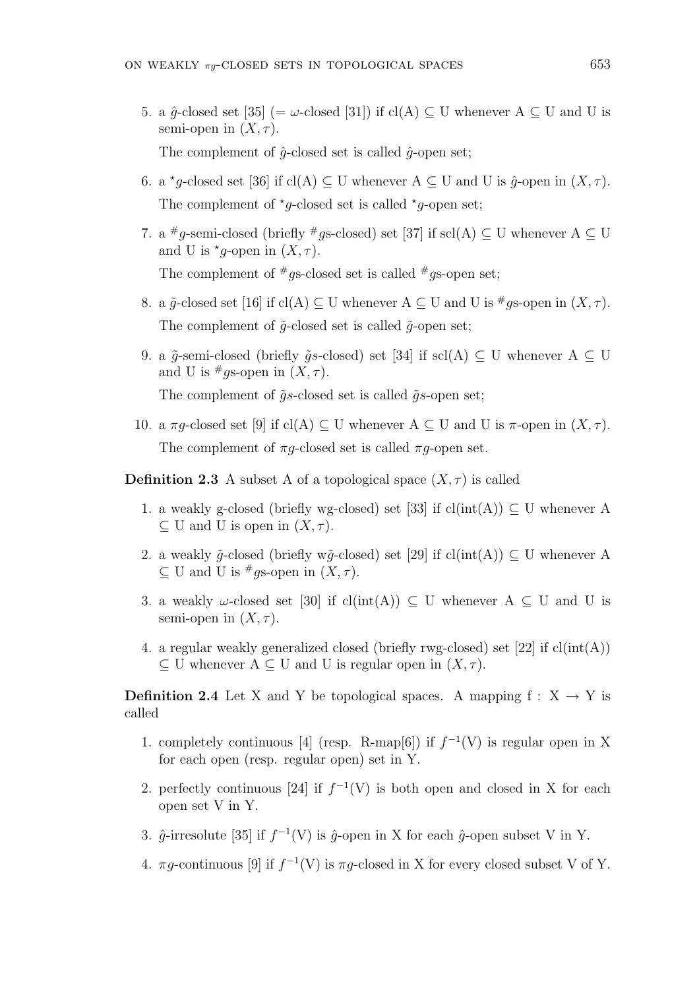5. a  $\hat{q}$ -closed set [35] (=  $\omega$ -closed [31]) if cl(A) ⊂ U whenever A ⊂ U and U is semi-open in  $(X, \tau)$ .

The complement of  $\hat{q}$ -closed set is called  $\hat{q}$ -open set;

- 6. a \*g-closed set [36] if cl(A)  $\subseteq$  U whenever A  $\subseteq$  U and U is  $\hat{g}$ -open in  $(X, \tau)$ . The complement of  $\star$ g-closed set is called  $\star$ g-open set;
- 7. a <sup>#</sup>g-semi-closed (briefly <sup>#</sup>gs-closed) set [37] if scl(A)  $\subseteq$  U whenever A  $\subseteq$  U and U is  $*_{g\text{-open in}} (X, \tau)$ . The complement of  $\#g$ s-closed set is called  $\#g$ s-open set;
- 8. a  $\tilde{g}$ -closed set [16] if cl(A)  $\subseteq$  U whenever A  $\subseteq$  U and U is  $\#_{qS}$ -open in  $(X, \tau)$ . The complement of  $\tilde{q}$ -closed set is called  $\tilde{q}$ -open set;
- 9. a  $\tilde{q}$ -semi-closed (briefly  $\tilde{q}s$ -closed) set [34] if scl(A) ⊂ U whenever A ⊂ U and U is  $\#$ *q*s-open in  $(X, \tau)$ .

The complement of  $\tilde{g}s$ -closed set is called  $\tilde{g}s$ -open set;

10. a  $\pi g$ -closed set [9] if cl(A)  $\subseteq U$  whenever A  $\subseteq U$  and U is  $\pi$ -open in  $(X, \tau)$ . The complement of  $\pi q$ -closed set is called  $\pi q$ -open set.

**Definition 2.3** A subset A of a topological space  $(X, \tau)$  is called

- 1. a weakly g-closed (briefly wg-closed) set [33] if  $cl(int(A)) \subseteq U$  whenever A  $\subseteq$  U and U is open in  $(X, \tau)$ .
- 2. a weakly  $\tilde{q}$ -closed (briefly w $\tilde{q}$ -closed) set [29] if cl(int(A))  $\subset U$  whenever A  $\subset U$  and U is #qs-open in  $(X, \tau)$ .
- 3. a weakly  $\omega$ -closed set [30] if cl(int(A))  $\subset U$  whenever A  $\subset U$  and U is semi-open in  $(X, \tau)$ .
- 4. a regular weakly generalized closed (briefly rwg-closed) set  $[22]$  if  $cl(int(A))$  $\subset U$  whenever  $A \subset U$  and U is regular open in  $(X, \tau)$ .

**Definition 2.4** Let X and Y be topological spaces. A mapping  $f : X \rightarrow Y$  is called

- 1. completely continuous [4] (resp. R-map[6]) if  $f^{-1}(V)$  is regular open in X for each open (resp. regular open) set in Y.
- 2. perfectly continuous [24] if  $f^{-1}(V)$  is both open and closed in X for each open set V in Y.
- 3.  $\hat{g}$ -irresolute [35] if  $f^{-1}(V)$  is  $\hat{g}$ -open in X for each  $\hat{g}$ -open subset V in Y.
- 4.  $\pi g$ -continuous [9] if  $f^{-1}(V)$  is  $\pi g$ -closed in X for every closed subset V of Y.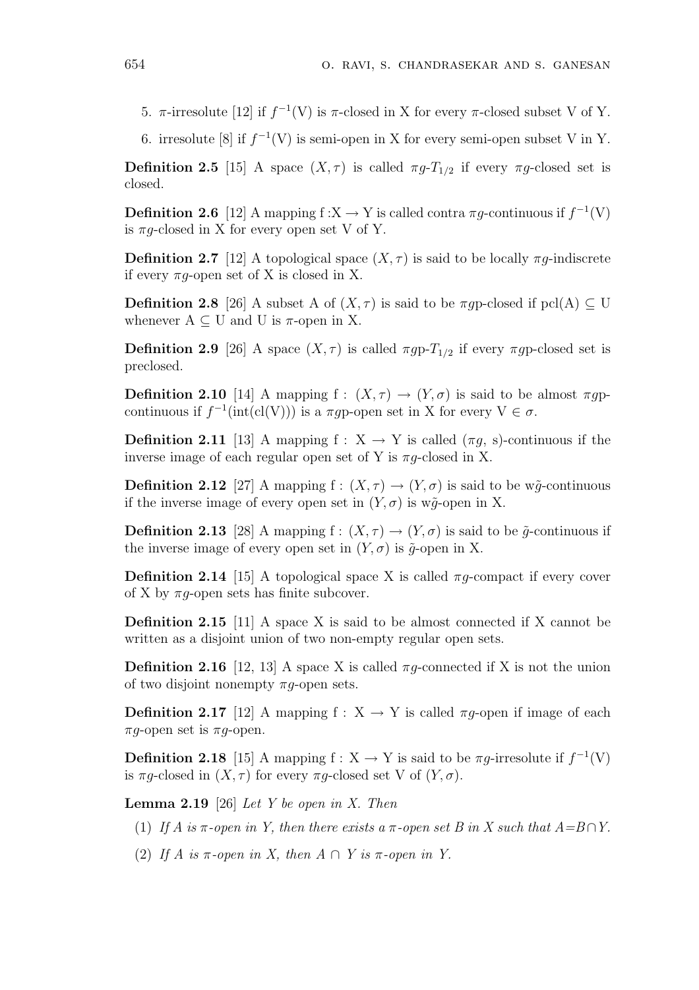- 5. π-irresolute [12] if  $f^{-1}(V)$  is π-closed in X for every π-closed subset V of Y.
- 6. irresolute [8] if  $f^{-1}(V)$  is semi-open in X for every semi-open subset V in Y.

**Definition 2.5** [15] A space  $(X, \tau)$  is called  $\pi g$ - $T_{1/2}$  if every  $\pi g$ -closed set is closed.

**Definition 2.6** [12] A mapping  $f: X \to Y$  is called contra  $\pi g$ -continuous if  $f^{-1}(V)$ is  $\pi g$ -closed in X for every open set V of Y.

**Definition 2.7** [12] A topological space  $(X, \tau)$  is said to be locally  $\pi q$ -indiscrete if every  $\pi g$ -open set of X is closed in X.

**Definition 2.8** [26] A subset A of  $(X, \tau)$  is said to be  $\pi g$  p-closed if pcl(A)  $\subseteq U$ whenever  $A \subseteq U$  and U is  $\pi$ -open in X.

**Definition 2.9** [26] A space  $(X, \tau)$  is called  $\pi gp - T_{1/2}$  if every  $\pi gp$ -closed set is preclosed.

**Definition 2.10** [14] A mapping f :  $(X, \tau) \rightarrow (Y, \sigma)$  is said to be almost  $\pi g$ continuous if  $f^{-1}(\text{int}(\text{cl}(V)))$  is a  $\pi g$ p-open set in X for every  $V \in \sigma$ .

**Definition 2.11** [13] A mapping f :  $X \rightarrow Y$  is called  $(\pi g, s)$ -continuous if the inverse image of each regular open set of Y is  $\pi g$ -closed in X.

**Definition 2.12** [27] A mapping  $f : (X, \tau) \to (Y, \sigma)$  is said to be w $\tilde{q}$ -continuous if the inverse image of every open set in  $(Y, \sigma)$  is w $\tilde{q}$ -open in X.

**Definition 2.13** [28] A mapping  $f : (X, \tau) \to (Y, \sigma)$  is said to be  $\tilde{g}$ -continuous if the inverse image of every open set in  $(Y, \sigma)$  is  $\tilde{g}$ -open in X.

**Definition 2.14** [15] A topological space X is called  $\pi q$ -compact if every cover of X by  $\pi q$ -open sets has finite subcover.

Definition 2.15 [11] A space X is said to be almost connected if X cannot be written as a disjoint union of two non-empty regular open sets.

**Definition 2.16** [12, 13] A space X is called  $\pi q$ -connected if X is not the union of two disjoint nonempty  $\pi g$ -open sets.

**Definition 2.17** [12] A mapping  $f : X \to Y$  is called  $\pi g$ -open if image of each  $\pi q$ -open set is  $\pi q$ -open.

**Definition 2.18** [15] A mapping  $f : X \to Y$  is said to be  $\pi g$ -irresolute if  $f^{-1}(V)$ is  $\pi q$ -closed in  $(X, \tau)$  for every  $\pi q$ -closed set V of  $(Y, \sigma)$ .

**Lemma 2.19** [26] Let Y be open in X. Then

- (1) If A is  $\pi$ -open in Y, then there exists a  $\pi$ -open set B in X such that  $A=B\cap Y$ .
- (2) If A is  $\pi$ -open in X, then  $A \cap Y$  is  $\pi$ -open in Y.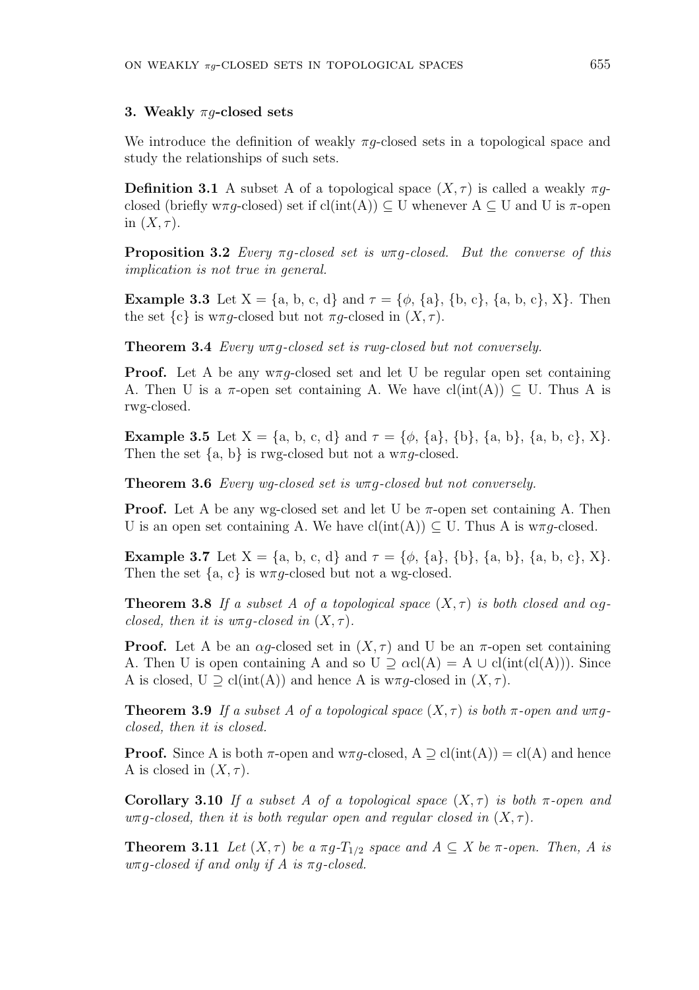#### 3. Weakly  $\pi q$ -closed sets

We introduce the definition of weakly  $\pi g$ -closed sets in a topological space and study the relationships of such sets.

**Definition 3.1** A subset A of a topological space  $(X, \tau)$  is called a weakly  $\pi g$ closed (briefly w $\pi g$ -closed) set if cl(int(A))  $\subseteq U$  whenever A  $\subseteq U$  and U is  $\pi$ -open in  $(X, \tau)$ .

**Proposition 3.2** Every  $\pi g$ -closed set is  $w\pi g$ -closed. But the converse of this implication is not true in general.

**Example 3.3** Let  $X = \{a, b, c, d\}$  and  $\tau = \{\phi, \{a\}, \{b, c\}, \{a, b, c\}, X\}$ . Then the set  $\{c\}$  is w $\pi q$ -closed but not  $\pi q$ -closed in  $(X, \tau)$ .

Theorem 3.4 Every wπg-closed set is rwg-closed but not conversely.

**Proof.** Let A be any  $w \pi g$ -closed set and let U be regular open set containing A. Then U is a  $\pi$ -open set containing A. We have  $cl(int(A)) \subseteq U$ . Thus A is rwg-closed.

**Example 3.5** Let  $X = \{a, b, c, d\}$  and  $\tau = \{\phi, \{a\}, \{b\}, \{a, b\}, \{a, b, c\}, X\}.$ Then the set  $\{a, b\}$  is rwg-closed but not a w $\pi g$ -closed.

Theorem 3.6 Every wg-closed set is wπg-closed but not conversely.

**Proof.** Let A be any wg-closed set and let U be  $\pi$ -open set containing A. Then U is an open set containing A. We have  $cl(int(A)) \subset U$ . Thus A is w $\pi q$ -closed.

**Example 3.7** Let  $X = \{a, b, c, d\}$  and  $\tau = \{\phi, \{a\}, \{b\}, \{a, b\}, \{a, b, c\}, X\}.$ Then the set  $\{a, c\}$  is w $\pi g$ -closed but not a wg-closed.

**Theorem 3.8** If a subset A of a topological space  $(X, \tau)$  is both closed and  $\alpha$ gclosed, then it is  $w \pi g$ -closed in  $(X, \tau)$ .

**Proof.** Let A be an  $\alpha q$ -closed set in  $(X, \tau)$  and U be an  $\pi$ -open set containing A. Then U is open containing A and so  $U \supseteq \alpha cl(A) = A \cup cl(int(cl(A))).$  Since A is closed,  $U \supset cl(int(A))$  and hence A is  $w \pi q$ -closed in  $(X, \tau)$ .

**Theorem 3.9** If a subset A of a topological space  $(X, \tau)$  is both  $\pi$ -open and  $w\pi g$ closed, then it is closed.

**Proof.** Since A is both  $\pi$ -open and  $w \pi g$ -closed,  $A \supseteq cl(int(A)) = cl(A)$  and hence A is closed in  $(X, \tau)$ .

Corollary 3.10 If a subset A of a topological space  $(X, \tau)$  is both  $\pi$ -open and  $w\pi q$ -closed, then it is both regular open and regular closed in  $(X, \tau)$ .

**Theorem 3.11** Let  $(X, \tau)$  be a  $\pi g$ - $T_{1/2}$  space and  $A \subseteq X$  be  $\pi$ -open. Then, A is  $w\pi g$ -closed if and only if A is  $\pi g$ -closed.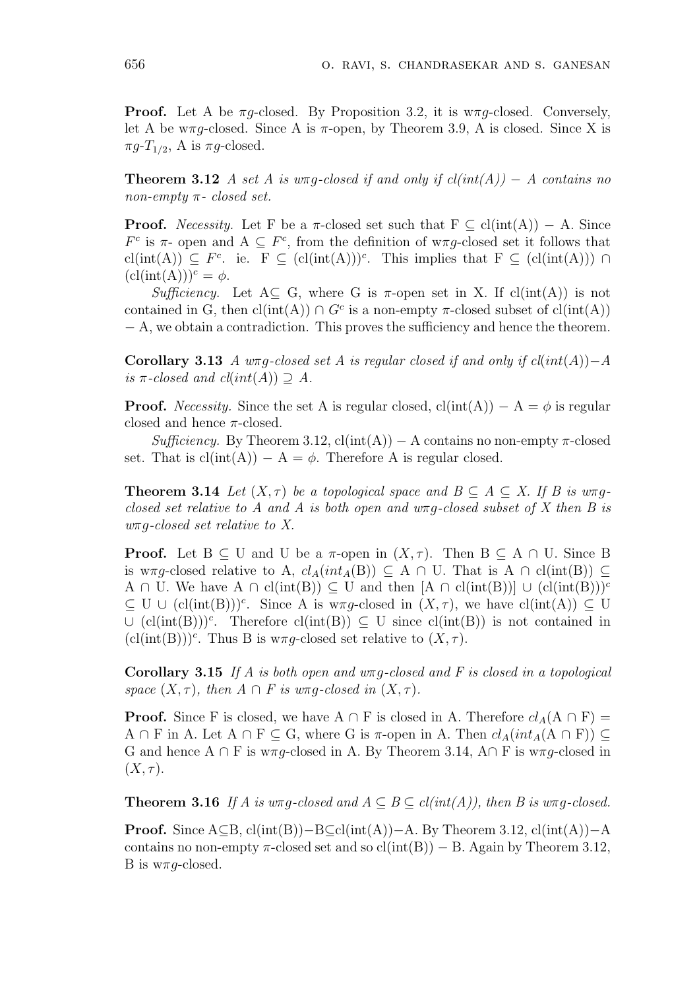**Proof.** Let A be  $\pi q$ -closed. By Proposition 3.2, it is  $w\pi q$ -closed. Conversely, let A be w $\pi g$ -closed. Since A is  $\pi$ -open, by Theorem 3.9, A is closed. Since X is  $\pi g$ - $T_{1/2}$ , A is  $\pi g$ -closed.

**Theorem 3.12** A set A is wπg-closed if and only if  $cl(int(A)) - A$  contains no non-empty  $\pi$ - closed set.

**Proof.** Necessity. Let F be a  $\pi$ -closed set such that  $F \subseteq cl(int(A)) - A$ . Since  $F<sup>c</sup>$  is π- open and A ⊆  $F<sup>c</sup>$ , from the definition of wπg-closed set it follows that  $\text{cl(int(A))} \subseteq F^c$ . ie.  $F \subseteq (\text{cl(int(A))})^c$ . This implies that  $F \subseteq (\text{cl(int(A))}) \cap$  $(cl(int(A)))^c = \phi.$ 

Sufficiency. Let  $A\subseteq G$ , where G is  $\pi$ -open set in X. If cl(int(A)) is not contained in G, then  $cl(int(A)) \cap G^c$  is a non-empty  $\pi$ -closed subset of  $cl(int(A))$ − A, we obtain a contradiction. This proves the sufficiency and hence the theorem.

Corollary 3.13 A wπg-closed set A is regular closed if and only if  $cl(int(A)) - A$ is  $\pi$ -closed and  $cl(int(A)) \supseteq A$ .

**Proof.** Necessity. Since the set A is regular closed,  $cl(int(A)) - A = \phi$  is regular closed and hence  $\pi$ -closed.

 $Sufficiency.$  By Theorem 3.12,  $cl(int(A)) - A$  contains no non-empty  $\pi$ -closed set. That is  $cl(int(A)) - A = \phi$ . Therefore A is regular closed.

**Theorem 3.14** Let  $(X, \tau)$  be a topological space and  $B \subseteq A \subseteq X$ . If B is  $w \pi g$ closed set relative to A and A is both open and  $w\pi q$ -closed subset of X then B is  $w\pi$ *g*-closed set relative to X.

**Proof.** Let  $B \subseteq U$  and U be a  $\pi$ -open in  $(X, \tau)$ . Then  $B \subseteq A \cap U$ . Since B is w $\pi g$ -closed relative to A,  $cl_A(int_A(B)) \subseteq A \cap U$ . That is  $A \cap cl(int(B)) \subseteq$ A ∩ U. We have A ∩ cl(int(B))  $\subseteq$  U and then  $[A \cap cl(int(B))] \cup (cl(int(B)))^c$  $\subseteq U \cup (cl(int(B)))^c$ . Since A is w $\pi g$ -closed in  $(X, \tau)$ , we have  $cl(int(A)) \subseteq U$  $\cup$  (cl(int(B)))<sup>c</sup>. Therefore cl(int(B))  $\subseteq$  U since cl(int(B)) is not contained in  $(cl(int(B)))^c$ . Thus B is w $\pi g$ -closed set relative to  $(X, \tau)$ .

**Corollary 3.15** If A is both open and  $w\pi g$ -closed and F is closed in a topological space  $(X, \tau)$ , then  $A \cap F$  is  $w \pi q$ -closed in  $(X, \tau)$ .

**Proof.** Since F is closed, we have A ∩ F is closed in A. Therefore  $cl_A(A \cap F)$  = A ∩ F in A. Let A ∩ F  $\subseteq$  G, where G is  $\pi$ -open in A. Then  $cl_A(int_A(A \cap F)) \subseteq$ G and hence A ∩ F is w $\pi g$ -closed in A. By Theorem 3.14, A∩ F is w $\pi g$ -closed in  $(X, \tau)$ .

**Theorem 3.16** If A is wπg-closed and  $A \subseteq B \subseteq cl(int(A))$ , then B is wπg-closed.

**Proof.** Since  $A ⊆ B$ , cl(int(B))–B⊆cl(int(A))–A. By Theorem 3.12, cl(int(A))–A contains no non-empty  $\pi$ -closed set and so cl(int(B)) – B. Again by Theorem 3.12, B is  $w\pi q$ -closed.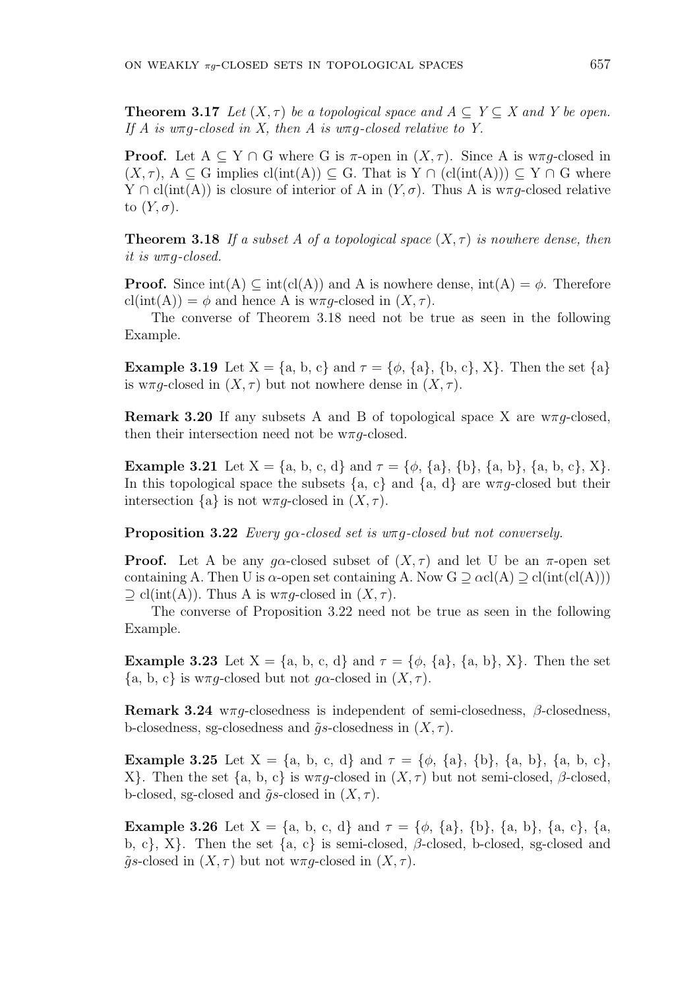**Theorem 3.17** Let  $(X, \tau)$  be a topological space and  $A \subset Y \subset X$  and Y be open. If A is  $w\pi q$ -closed in X, then A is  $w\pi q$ -closed relative to Y.

**Proof.** Let  $A \subseteq Y \cap G$  where G is  $\pi$ -open in  $(X, \tau)$ . Since A is w $\pi q$ -closed in  $(X, \tau)$ ,  $A \subseteq G$  implies  $cl(int(A)) \subseteq G$ . That is  $Y \cap (cl(int(A))) \subseteq Y \cap G$  where  $Y \cap cl(int(A))$  is closure of interior of A in  $(Y, \sigma)$ . Thus A is w $\pi q$ -closed relative to  $(Y, \sigma)$ .

**Theorem 3.18** If a subset A of a topological space  $(X, \tau)$  is nowhere dense, then it is wπg-closed.

**Proof.** Since  $int(A) \subset int(cl(A))$  and A is nowhere dense,  $int(A) = \phi$ . Therefore  $cl(int(A)) = \phi$  and hence A is w $\pi g$ -closed in  $(X, \tau)$ .

The converse of Theorem 3.18 need not be true as seen in the following Example.

**Example 3.19** Let  $X = \{a, b, c\}$  and  $\tau = \{\phi, \{a\}, \{b, c\}, X\}$ . Then the set  $\{a\}$ is w $\pi q$ -closed in  $(X, \tau)$  but not nowhere dense in  $(X, \tau)$ .

**Remark 3.20** If any subsets A and B of topological space X are  $w\pi q$ -closed, then their intersection need not be  $w\pi q$ -closed.

**Example 3.21** Let  $X = \{a, b, c, d\}$  and  $\tau = \{\phi, \{a\}, \{b\}, \{a, b\}, \{a, b, c\}, X\}.$ In this topological space the subsets  ${a, c}$  and  ${a, d}$  are  $w\pi q$ -closed but their intersection  $\{a\}$  is not wπq-closed in  $(X, \tau)$ .

**Proposition 3.22** Every  $q\alpha$ -closed set is  $w\pi q$ -closed but not conversely.

**Proof.** Let A be any gα-closed subset of  $(X, \tau)$  and let U be an  $\pi$ -open set containing A. Then U is  $\alpha$ -open set containing A. Now G  $\supset \alpha c l(A) \supset c l(int(cl(A)))$  $\supseteq$  cl(int(A)). Thus A is w $\pi g$ -closed in  $(X, \tau)$ .

The converse of Proposition 3.22 need not be true as seen in the following Example.

**Example 3.23** Let  $X = \{a, b, c, d\}$  and  $\tau = \{\phi, \{a\}, \{a, b\}, X\}$ . Then the set  ${a, b, c}$  is w $\pi g$ -closed but not g $\alpha$ -closed in  $(X, \tau)$ .

Remark 3.24 w $\pi g$ -closedness is independent of semi-closedness,  $\beta$ -closedness, b-closedness, sg-closedness and  $\tilde{q}s$ -closedness in  $(X, \tau)$ .

**Example 3.25** Let  $X = \{a, b, c, d\}$  and  $\tau = \{\phi, \{a\}, \{b\}, \{a, b\}, \{a, b, c\}, \{a, b, d\}$ X}. Then the set {a, b, c} is  $w\pi q$ -closed in  $(X, \tau)$  but not semi-closed,  $\beta$ -closed, b-closed, sg-closed and  $\tilde{q}s$ -closed in  $(X, \tau)$ .

**Example 3.26** Let  $X = \{a, b, c, d\}$  and  $\tau = \{\phi, \{a\}, \{b\}, \{a, b\}, \{a, c\}, \{a, d\}$ b, c}, X}. Then the set  $\{a, c\}$  is semi-closed,  $\beta$ -closed, b-closed, sg-closed and  $\tilde{g}s$ -closed in  $(X,\tau)$  but not w $\pi g$ -closed in  $(X,\tau)$ .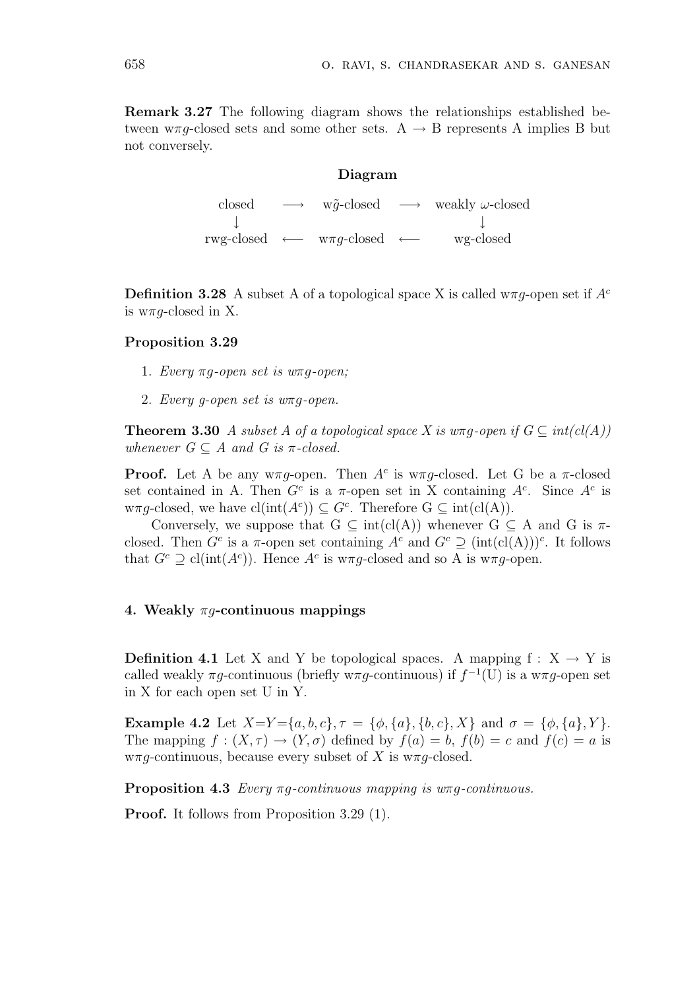Remark 3.27 The following diagram shows the relationships established between  $w\pi q$ -closed sets and some other sets. A  $\rightarrow$  B represents A implies B but not conversely.

# Diagram

closed  $\longrightarrow$  w $\tilde{q}$ -closed  $\longrightarrow$  weakly  $\omega$ -closed ↓ ↓ rwg-closed ←− wπg-closed ←− wg-closed

**Definition 3.28** A subset A of a topological space X is called w $\pi q$ -open set if  $A^c$ is  $w\pi q$ -closed in X.

## Proposition 3.29

- 1. Every  $\pi q$ -open set is w $\pi q$ -open;
- 2. Every g-open set is wπg-open.

**Theorem 3.30** A subset A of a topological space X is  $w\pi q$ -open if  $G \subseteq int(cl(A))$ whenever  $G \subseteq A$  and  $G$  is  $\pi$ -closed.

**Proof.** Let A be any w $\pi g$ -open. Then  $A^c$  is w $\pi g$ -closed. Let G be a  $\pi$ -closed set contained in A. Then  $G^c$  is a  $\pi$ -open set in X containing  $A^c$ . Since  $A^c$  is  $w\pi g$ -closed, we have  $\text{cl}(\text{int}(A^c)) \subseteq G^c$ . Therefore  $G \subseteq \text{int}(\text{cl}(A)).$ 

Conversely, we suppose that  $G \subseteq \text{int}(cl(A))$  whenever  $G \subseteq A$  and G is  $\pi$ closed. Then  $G^c$  is a  $\pi$ -open set containing  $A^c$  and  $G^c \supseteq (\text{int}(\text{cl}(A)))^c$ . It follows that  $G^c \supseteq cl(int(A^c))$ . Hence  $A^c$  is w $\pi g$ -closed and so A is w $\pi g$ -open.

## 4. Weakly  $\pi q$ -continuous mappings

**Definition 4.1** Let X and Y be topological spaces. A mapping  $f : X \rightarrow Y$  is called weakly  $\pi g$ -continuous (briefly w $\pi g$ -continuous) if  $f^{-1}(U)$  is a w $\pi g$ -open set in X for each open set U in Y.

Example 4.2 Let  $X=Y={a,b,c}, \tau={\phi, {a}, {b,c}, X}$  and  $\sigma={\phi, {a}, Y}.$ The mapping  $f : (X, \tau) \to (Y, \sigma)$  defined by  $f(a) = b$ ,  $f(b) = c$  and  $f(c) = a$  is  $w\pi q$ -continuous, because every subset of X is  $w\pi q$ -closed.

**Proposition 4.3** Every  $\pi g$ -continuous mapping is  $w\pi g$ -continuous.

Proof. It follows from Proposition 3.29 (1).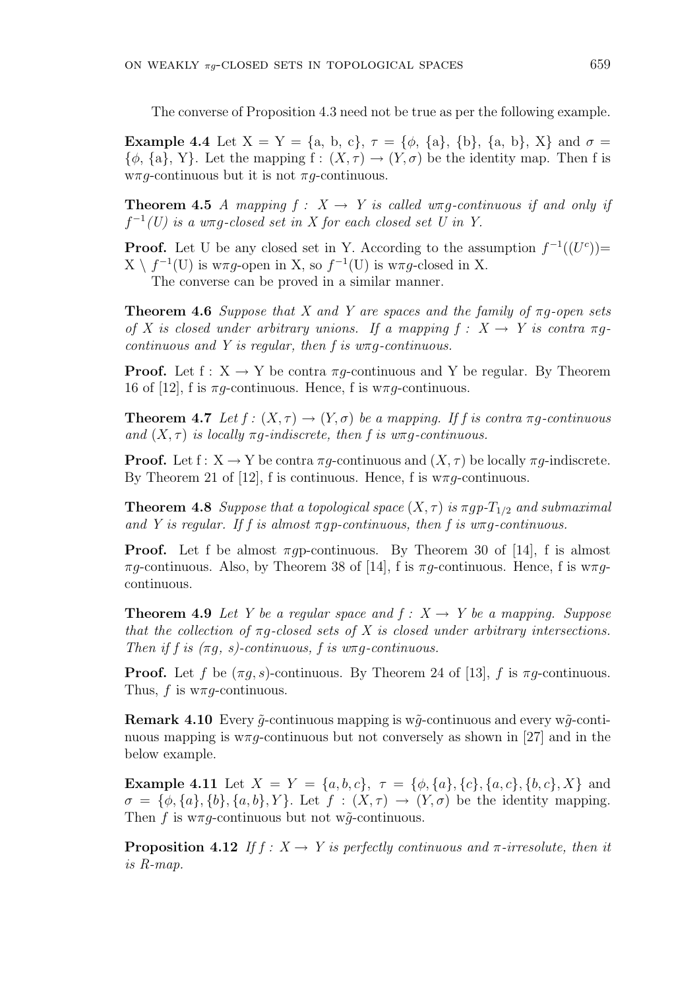The converse of Proposition 4.3 need not be true as per the following example.

**Example 4.4** Let  $X = Y = \{a, b, c\}, \tau = \{\phi, \{a\}, \{b\}, \{a, b\}, X\}$  and  $\sigma =$  $\{\phi, \{a\}, Y\}$ . Let the mapping  $f : (X, \tau) \to (Y, \sigma)$  be the identity map. Then f is  $w\pi q$ -continuous but it is not  $\pi q$ -continuous.

**Theorem 4.5** A mapping  $f : X \rightarrow Y$  is called  $w \pi q$ -continuous if and only if  $f^{-1}(U)$  is a wrog-closed set in X for each closed set U in Y.

**Proof.** Let U be any closed set in Y. According to the assumption  $f^{-1}((U^c))$  $X \setminus f^{-1}(U)$  is w $\pi g$ -open in X, so  $f^{-1}(U)$  is w $\pi g$ -closed in X. The converse can be proved in a similar manner.

**Theorem 4.6** Suppose that X and Y are spaces and the family of  $\pi g$ -open sets of X is closed under arbitrary unions. If a mapping  $f: X \rightarrow Y$  is contra  $\pi q$ continuous and Y is regular, then f is  $w\pi q$ -continuous.

**Proof.** Let  $f: X \to Y$  be contra  $\pi g$ -continuous and Y be regular. By Theorem 16 of [12], f is  $\pi q$ -continuous. Hence, f is w $\pi q$ -continuous.

**Theorem 4.7** Let  $f : (X, \tau) \to (Y, \sigma)$  be a mapping. If f is contra  $\pi q$ -continuous and  $(X, \tau)$  is locally  $\pi q$ -indiscrete, then f is w $\pi q$ -continuous.

**Proof.** Let  $f: X \to Y$  be contra  $\pi g$ -continuous and  $(X, \tau)$  be locally  $\pi g$ -indiscrete. By Theorem 21 of [12], f is continuous. Hence, f is  $w\pi g$ -continuous.

**Theorem 4.8** Suppose that a topological space  $(X, \tau)$  is  $\pi gp - T_{1/2}$  and submaximal and Y is regular. If f is almost  $\pi q p$ -continuous, then f is  $w\pi q$ -continuous.

**Proof.** Let f be almost  $\pi q$ -continuous. By Theorem 30 of [14], f is almost  $\pi q$ -continuous. Also, by Theorem 38 of [14], f is  $\pi q$ -continuous. Hence, f is  $\pi q$ continuous.

**Theorem 4.9** Let Y be a regular space and  $f: X \rightarrow Y$  be a mapping. Suppose that the collection of  $\pi q$ -closed sets of X is closed under arbitrary intersections. Then if f is  $(\pi g, s)$ -continuous, f is  $w\pi g$ -continuous.

**Proof.** Let f be  $(\pi g, s)$ -continuous. By Theorem 24 of [13], f is  $\pi g$ -continuous. Thus, f is  $w\pi q$ -continuous.

**Remark 4.10** Every  $\tilde{q}$ -continuous mapping is w $\tilde{q}$ -continuous and every w $\tilde{q}$ -continuous mapping is  $w\pi g$ -continuous but not conversely as shown in [27] and in the below example.

Example 4.11 Let  $X = Y = \{a, b, c\}, \tau = \{\phi, \{a\}, \{c\}, \{a, c\}, \{b, c\}, X\}$  and  $\sigma = {\phi, \{a\}, \{b\}, \{a, b\}, Y}$ . Let  $f : (X, \tau) \to (Y, \sigma)$  be the identity mapping. Then f is  $w\pi q$ -continuous but not w $\tilde{q}$ -continuous.

**Proposition 4.12** If  $f: X \to Y$  is perfectly continuous and  $\pi$ -irresolute, then it is R-map.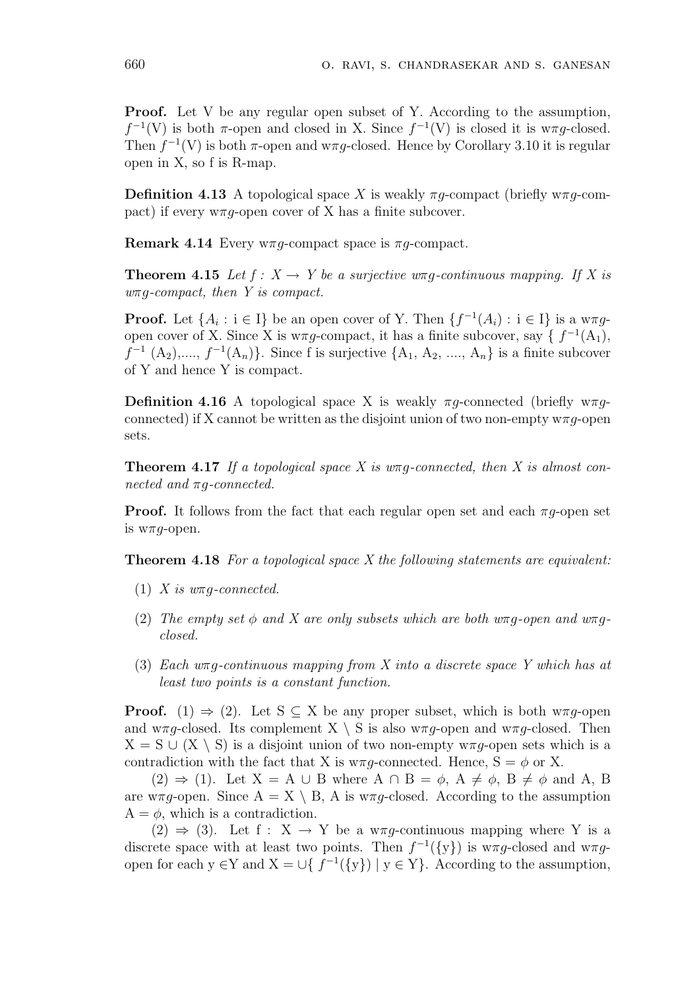**Proof.** Let V be any regular open subset of Y. According to the assumption,  $f^{-1}(V)$  is both  $\pi$ -open and closed in X. Since  $f^{-1}(V)$  is closed it is w $\pi g$ -closed. Then  $f^{-1}(V)$  is both  $\pi$ -open and w $\pi g$ -closed. Hence by Corollary 3.10 it is regular open in X, so f is R-map.

**Definition 4.13** A topological space X is weakly  $\pi q$ -compact (briefly w $\pi q$ -compact) if every  $w\pi q$ -open cover of X has a finite subcover.

Remark 4.14 Every w $\pi q$ -compact space is  $\pi q$ -compact.

**Theorem 4.15** Let  $f: X \to Y$  be a surjective  $w \pi q$ -continuous mapping. If X is  $w\pi q$ -compact, then Y is compact.

**Proof.** Let  $\{A_i : i \in I\}$  be an open cover of Y. Then  $\{f^{-1}(A_i) : i \in I\}$  is a w $\pi g$ open cover of X. Since X is  $w\pi g$ -compact, it has a finite subcover, say {  $f^{-1}(A_1)$ ,  $f^{-1}(A_2),..., f^{-1}(A_n)$ . Since f is surjective  $\{A_1, A_2, ..., A_n\}$  is a finite subcover of Y and hence Y is compact.

**Definition 4.16** A topological space X is weakly  $\pi g$ -connected (briefly w $\pi g$ connected) if X cannot be written as the disjoint union of two non-empty  $w\pi q$ -open sets.

**Theorem 4.17** If a topological space X is  $w\pi q$ -connected, then X is almost connected and  $\pi q$ -connected.

**Proof.** It follows from the fact that each regular open set and each  $\pi q$ -open set is  $w\pi g$ -open.

**Theorem 4.18** For a topological space X the following statements are equivalent:

- (1) X is  $w \pi q$ -connected.
- (2) The empty set  $\phi$  and X are only subsets which are both wπg-open and wπgclosed.
- (3) Each  $w\pi q$ -continuous mapping from X into a discrete space Y which has at least two points is a constant function.

**Proof.** (1)  $\Rightarrow$  (2). Let S  $\subseteq$  X be any proper subset, which is both w $\pi q$ -open and w $\pi q$ -closed. Its complement X \ S is also w $\pi q$ -open and w $\pi q$ -closed. Then  $X = S \cup (X \setminus S)$  is a disjoint union of two non-empty w $\pi q$ -open sets which is a contradiction with the fact that X is  $w \pi g$ -connected. Hence,  $S = \phi$  or X.

 $(2) \Rightarrow (1)$ . Let  $X = A \cup B$  where  $A \cap B = \phi$ ,  $A \neq \phi$ ,  $B \neq \phi$  and A, B are w $\pi q$ -open. Since  $A = X \setminus B$ , A is w $\pi q$ -closed. According to the assumption  $A = \phi$ , which is a contradiction.

 $(2) \Rightarrow (3)$ . Let f : X  $\rightarrow$  Y be a w $\pi q$ -continuous mapping where Y is a discrete space with at least two points. Then  $f^{-1}(\{y\})$  is w $\pi g$ -closed and w $\pi g$ open for each  $y \in Y$  and  $X = \bigcup \{ f^{-1}(\{y\}) \mid y \in Y \}$ . According to the assumption,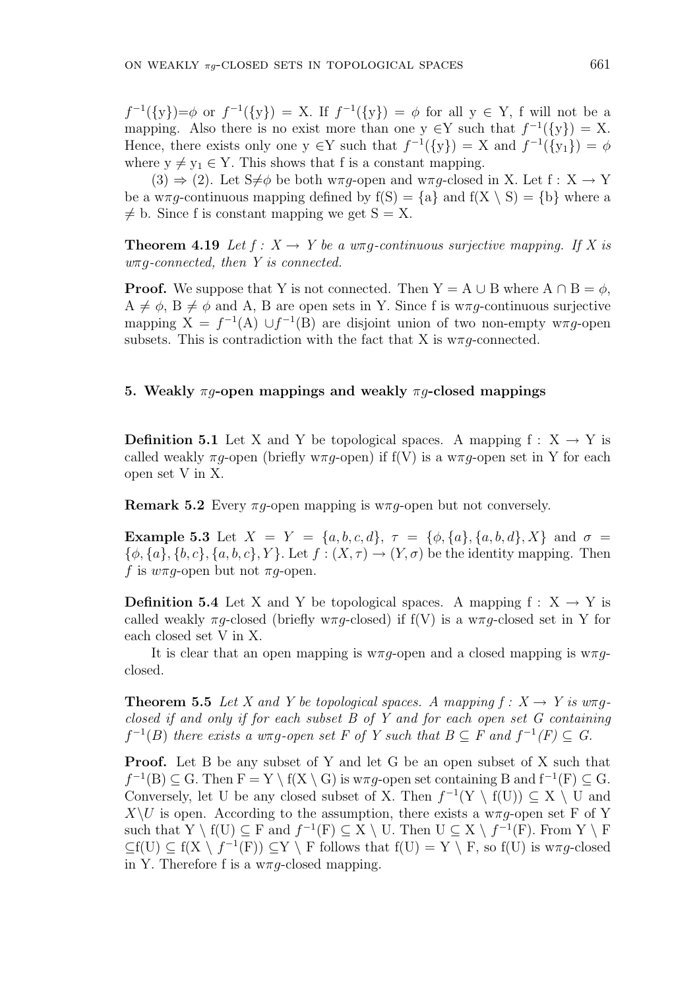$f^{-1}(\{y\}) = \phi$  or  $f^{-1}(\{y\}) = X$ . If  $f^{-1}(\{y\}) = \phi$  for all  $y \in Y$ , f will not be a mapping. Also there is no exist more than one  $y \in Y$  such that  $f^{-1}(\{y\}) = X$ . Hence, there exists only one  $y \in Y$  such that  $f^{-1}(\{y\}) = X$  and  $f^{-1}(\{y_1\}) = \phi$ where  $y \neq y_1 \in Y$ . This shows that f is a constant mapping.

 $(3) \Rightarrow (2)$ . Let  $S \neq \emptyset$  be both w $\pi q$ -open and w $\pi q$ -closed in X. Let  $f : X \to Y$ be a w $\pi g$ -continuous mapping defined by  $f(S) = \{a\}$  and  $f(X \setminus S) = \{b\}$  where a  $\neq$  b. Since f is constant mapping we get  $S = X$ .

**Theorem 4.19** Let  $f: X \to Y$  be a  $w \pi q$ -continuous surjective mapping. If X is  $w\pi q$ -connected, then Y is connected.

**Proof.** We suppose that Y is not connected. Then  $Y = A \cup B$  where  $A \cap B = \phi$ ,  $A \neq \phi$ ,  $B \neq \phi$  and A, B are open sets in Y. Since f is w $\pi q$ -continuous surjective mapping  $X = f^{-1}(A) \cup f^{-1}(B)$  are disjoint union of two non-empty w $\pi g$ -open subsets. This is contradiction with the fact that X is  $w \pi g$ -connected.

# 5. Weakly  $\pi q$ -open mappings and weakly  $\pi q$ -closed mappings

**Definition 5.1** Let X and Y be topological spaces. A mapping  $f : X \rightarrow Y$  is called weakly  $\pi q$ -open (briefly w $\pi q$ -open) if  $f(V)$  is a w $\pi q$ -open set in Y for each open set V in X.

Remark 5.2 Every  $\pi q$ -open mapping is w $\pi q$ -open but not conversely.

Example 5.3 Let  $X = Y = \{a, b, c, d\}, \tau = \{\phi, \{a\}, \{a, b, d\}, X\}$  and  $\sigma =$  ${\phi, \{a\}, \{b, c\}, \{a, b, c\}, Y}$ . Let  $f : (X, \tau) \to (Y, \sigma)$  be the identity mapping. Then f is  $w\pi g$ -open but not  $\pi g$ -open.

**Definition 5.4** Let X and Y be topological spaces. A mapping  $f : X \rightarrow Y$  is called weakly  $\pi g$ -closed (briefly w $\pi g$ -closed) if  $f(V)$  is a w $\pi g$ -closed set in Y for each closed set V in X.

It is clear that an open mapping is  $w\pi q$ -open and a closed mapping is  $w\pi q$ closed.

**Theorem 5.5** Let X and Y be topological spaces. A mapping  $f: X \to Y$  is  $w\pi q$ . closed if and only if for each subset  $B$  of  $Y$  and for each open set  $G$  containing  $f^{-1}(B)$  there exists a w $\pi g$ -open set F of Y such that  $B \subseteq F$  and  $f^{-1}(F) \subseteq G$ .

Proof. Let B be any subset of Y and let G be an open subset of X such that  $f^{-1}(B) \subseteq G$ . Then  $F = Y \setminus f(X \setminus G)$  is w $\pi g$ -open set containing B and  $f^{-1}(F) \subseteq G$ . Conversely, let U be any closed subset of X. Then  $f^{-1}(Y \setminus f(U)) \subseteq X \setminus U$  and  $X\setminus U$  is open. According to the assumption, there exists a w $\pi g$ -open set F of Y such that  $Y \setminus f(U) \subseteq F$  and  $f^{-1}(F) \subseteq X \setminus U$ . Then  $U \subseteq X \setminus f^{-1}(F)$ . From  $Y \setminus F$  $\subseteq f(U) \subseteq f(X \setminus f^{-1}(F)) \subseteq Y \setminus F$  follows that  $f(U) = Y \setminus F$ , so  $f(U)$  is w $\pi g$ -closed in Y. Therefore f is a  $w \pi g$ -closed mapping.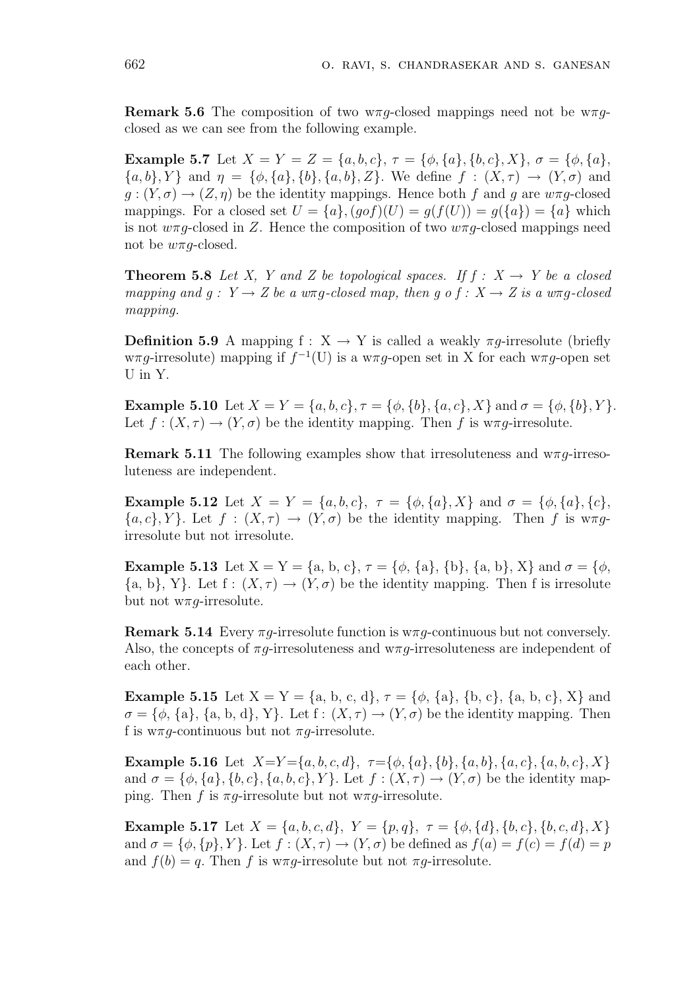**Remark 5.6** The composition of two  $w \pi q$ -closed mappings need not be  $w \pi q$ closed as we can see from the following example.

Example 5.7 Let  $X = Y = Z = \{a, b, c\}, \tau = \{\phi, \{a\}, \{b, c\}, X\}, \sigma = \{\phi, \{a\}, \{a\}, X\}$  ${a, b}$ ,  $Y$  and  $\eta = {\phi, {a}, {b}, {b}, {a, b}, Z}$ . We define  $f : (X, \tau) \to (Y, \sigma)$  and  $q:(Y,\sigma)\to (Z,\eta)$  be the identity mappings. Hence both f and q are  $w\pi q$ -closed mappings. For a closed set  $U = \{a\}$ ,  $(gof)(U) = g(f(U)) = g(\{a\}) = \{a\}$  which is not  $w\pi q$ -closed in Z. Hence the composition of two  $w\pi q$ -closed mappings need not be  $w\pi g$ -closed.

**Theorem 5.8** Let X, Y and Z be topological spaces. If  $f : X \rightarrow Y$  be a closed mapping and  $q: Y \to Z$  be a w $\pi q$ -closed map, then q o  $f: X \to Z$  is a w $\pi q$ -closed mapping.

**Definition 5.9** A mapping f :  $X \rightarrow Y$  is called a weakly  $\pi q$ -irresolute (briefly  $w\pi g$ -irresolute) mapping if  $f^{-1}(U)$  is a wπg-open set in X for each wπg-open set U in Y.

Example 5.10 Let  $X = Y = \{a, b, c\}, \tau = \{\phi, \{b\}, \{a, c\}, X\}$  and  $\sigma = \{\phi, \{b\}, Y\}.$ Let  $f: (X, \tau) \to (Y, \sigma)$  be the identity mapping. Then f is w $\pi g$ -irresolute.

**Remark 5.11** The following examples show that irresoluteness and  $w\pi g$ -irresoluteness are independent.

Example 5.12 Let  $X = Y = \{a, b, c\}$ ,  $\tau = \{\phi, \{a\}, X\}$  and  $\sigma = \{\phi, \{a\}, \{c\}$ ,  ${a, c}$ ,  $Y$ . Let  $f : (X, \tau) \to (Y, \sigma)$  be the identity mapping. Then f is w $\pi g$ irresolute but not irresolute.

**Example 5.13** Let  $X = Y = \{a, b, c\}, \tau = \{\phi, \{a\}, \{b\}, \{a, b\}, X\}$  and  $\sigma = \{\phi, \phi\}$  ${a, b}, Y$ . Let  $f : (X, \tau) \to (Y, \sigma)$  be the identity mapping. Then f is irresolute but not  $w\pi g$ -irresolute.

**Remark 5.14** Every  $\pi q$ -irresolute function is  $w \pi q$ -continuous but not conversely. Also, the concepts of  $\pi q$ -irresoluteness and w $\pi q$ -irresoluteness are independent of each other.

**Example 5.15** Let  $X = Y = \{a, b, c, d\}, \tau = \{\phi, \{a\}, \{b, c\}, \{a, b, c\}, X\}$  and  $\sigma = {\phi, \{a\}, \{a, b, d\}, Y}.$  Let  $f : (X, \tau) \to (Y, \sigma)$  be the identity mapping. Then f is  $w\pi q$ -continuous but not  $\pi q$ -irresolute.

Example 5.16 Let  $X=Y={a,b,c,d}$ ,  $\tau={\phi, {a}, {b}, {a}, {b}, {a}, {c}, {a}, {b}, {c}, X}$ and  $\sigma = {\phi, \{a\}, \{b, c\}, \{a, b, c\}, Y}$ . Let  $f : (X, \tau) \to (Y, \sigma)$  be the identity mapping. Then f is  $\pi q$ -irresolute but not w $\pi q$ -irresolute.

Example 5.17 Let  $X = \{a, b, c, d\}$ ,  $Y = \{p, q\}$ ,  $\tau = \{\phi, \{d\}, \{b, c\}, \{b, c, d\}, X\}$ and  $\sigma = {\phi, \{p\}, Y\}$ . Let  $f : (X, \tau) \to (Y, \sigma)$  be defined as  $f(a) = f(c) = f(d) = p$ and  $f(b) = q$ . Then f is wπg-irresolute but not πg-irresolute.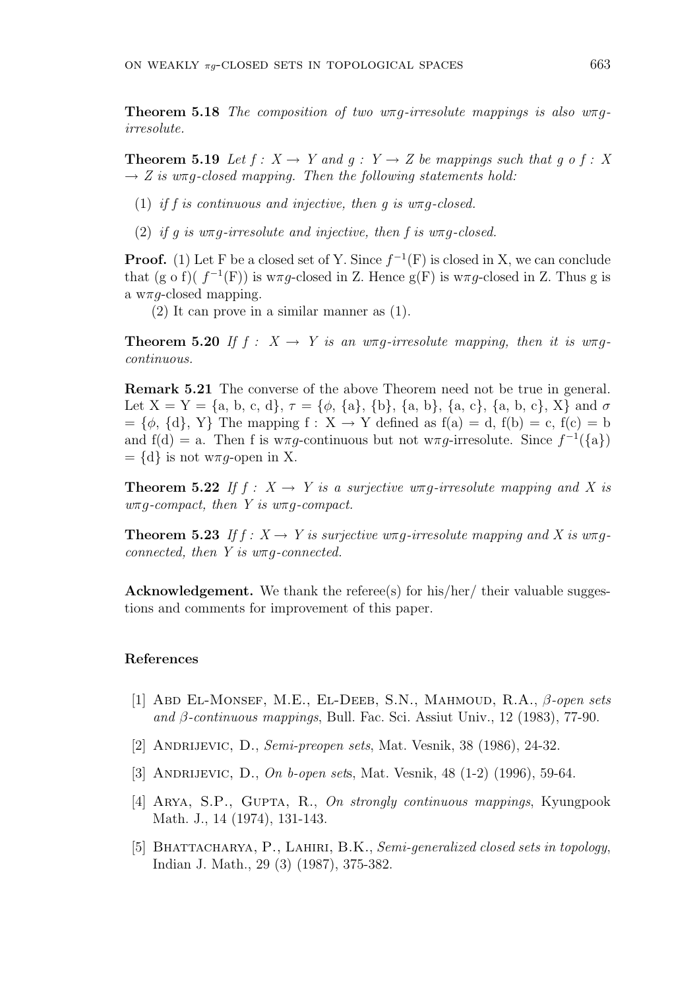**Theorem 5.18** The composition of two  $w\pi q$ -irresolute mappings is also  $w\pi q$ irresolute.

**Theorem 5.19** Let  $f: X \to Y$  and  $g: Y \to Z$  be mappings such that g o f : X  $\rightarrow$  Z is w $\pi$ q-closed mapping. Then the following statements hold:

- (1) if f is continuous and injective, then g is  $\alpha$  is  $\alpha$ -closed.
- (2) if g is  $w\pi g$ -irresolute and injective, then f is  $w\pi g$ -closed.

**Proof.** (1) Let F be a closed set of Y. Since  $f^{-1}(F)$  is closed in X, we can conclude that (g o f)( $f^{-1}(F)$ ) is w $\pi g$ -closed in Z. Hence g(F) is w $\pi g$ -closed in Z. Thus g is a w $\pi$ *q*-closed mapping.

(2) It can prove in a similar manner as (1).

**Theorem 5.20** If  $f : X \to Y$  is an  $w \pi q$ -irresolute mapping, then it is  $w \pi q$ continuous.

Remark 5.21 The converse of the above Theorem need not be true in general. Let  $X = Y = \{a, b, c, d\}, \tau = \{\phi, \{a\}, \{b\}, \{a, b\}, \{a, c\}, \{a, b, c\}, X\}$  and  $\sigma$  $=\{\phi, \{d\}, Y\}$  The mapping  $f: X \to Y$  defined as  $f(a) = d$ ,  $f(b) = c$ ,  $f(c) = b$ and  $f(d) = a$ . Then f is w $\pi g$ -continuous but not w $\pi g$ -irresolute. Since  $f^{-1}(\{a\})$  $= \{d\}$  is not w $\pi q$ -open in X.

**Theorem 5.22** If  $f : X \to Y$  is a surjective wπq-irresolute mapping and X is  $w\pi q$ -compact, then Y is  $w\pi q$ -compact.

**Theorem 5.23** If  $f: X \to Y$  is surjective wπq-irresolute mapping and X is wπqconnected, then  $Y$  is  $w \pi q$ -connected.

Acknowledgement. We thank the referee(s) for his/her/ their valuable suggestions and comments for improvement of this paper.

#### References

- [1] Abd El-Monsef, M.E., El-Deeb, S.N., Mahmoud, R.A., β-open sets and  $\beta$ -continuous mappings, Bull. Fac. Sci. Assiut Univ., 12 (1983), 77-90.
- [2] ANDRIJEVIC, D., Semi-preopen sets, Mat. Vesnik, 38 (1986), 24-32.
- [3] ANDRIJEVIC, D., On b-open sets, Mat. Vesnik, 48 (1-2) (1996), 59-64.
- [4] ARYA, S.P., GUPTA, R., On strongly continuous mappings, Kyungpook Math. J., 14 (1974), 131-143.
- [5] BHATTACHARYA, P., LAHIRI, B.K., Semi-generalized closed sets in topology, Indian J. Math., 29 (3) (1987), 375-382.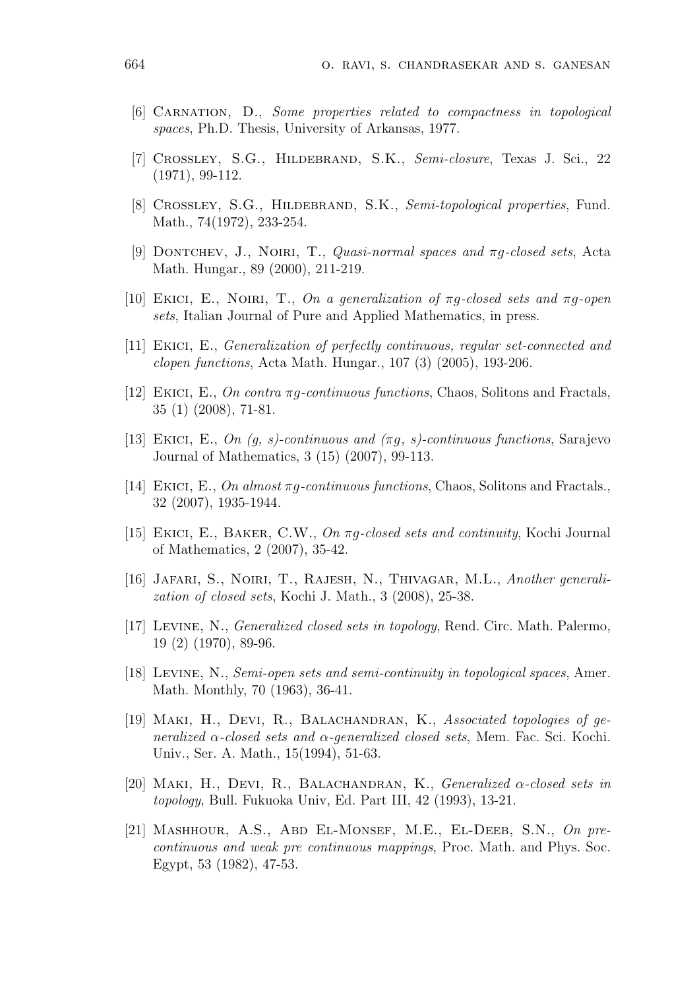- [6] Carnation, D., Some properties related to compactness in topological spaces, Ph.D. Thesis, University of Arkansas, 1977.
- [7] Crossley, S.G., Hildebrand, S.K., Semi-closure, Texas J. Sci., 22 (1971), 99-112.
- [8] CROSSLEY, S.G., HILDEBRAND, S.K., Semi-topological properties, Fund. Math., 74(1972), 233-254.
- [9] DONTCHEV, J., NOIRI, T., *Quasi-normal spaces and*  $\pi q$ -closed sets, Acta Math. Hungar., 89 (2000), 211-219.
- [10] EKICI, E., NOIRI, T., On a generalization of  $\pi g$ -closed sets and  $\pi g$ -open sets, Italian Journal of Pure and Applied Mathematics, in press.
- [11] Ekici, E., Generalization of perfectly continuous, regular set-connected and clopen functions, Acta Math. Hungar., 107 (3) (2005), 193-206.
- [12] EKICI, E., On contra  $\pi q$ -continuous functions, Chaos, Solitons and Fractals, 35 (1) (2008), 71-81.
- [13] EKICI, E., On  $(g, s)$ -continuous and  $(\pi g, s)$ -continuous functions, Sarajevo Journal of Mathematics, 3 (15) (2007), 99-113.
- [14] EKICI, E., On almost  $\pi q$ -continuous functions, Chaos, Solitons and Fractals. 32 (2007), 1935-1944.
- [15] Ekici, E., Baker, C.W., On πg-closed sets and continuity, Kochi Journal of Mathematics, 2 (2007), 35-42.
- [16] Jafari, S., Noiri, T., Rajesh, N., Thivagar, M.L., Another generalization of closed sets, Kochi J. Math., 3 (2008), 25-38.
- [17] Levine, N., Generalized closed sets in topology, Rend. Circ. Math. Palermo, 19 (2) (1970), 89-96.
- [18] Levine, N., Semi-open sets and semi-continuity in topological spaces, Amer. Math. Monthly, 70 (1963), 36-41.
- [19] Maki, H., Devi, R., Balachandran, K., Associated topologies of generalized  $\alpha$ -closed sets and  $\alpha$ -generalized closed sets, Mem. Fac. Sci. Kochi. Univ., Ser. A. Math., 15(1994), 51-63.
- [20] MAKI, H., DEVI, R., BALACHANDRAN, K., Generalized  $\alpha$ -closed sets in topology, Bull. Fukuoka Univ, Ed. Part III, 42 (1993), 13-21.
- [21] Mashhour, A.S., Abd El-Monsef, M.E., El-Deeb, S.N., On precontinuous and weak pre continuous mappings, Proc. Math. and Phys. Soc. Egypt, 53 (1982), 47-53.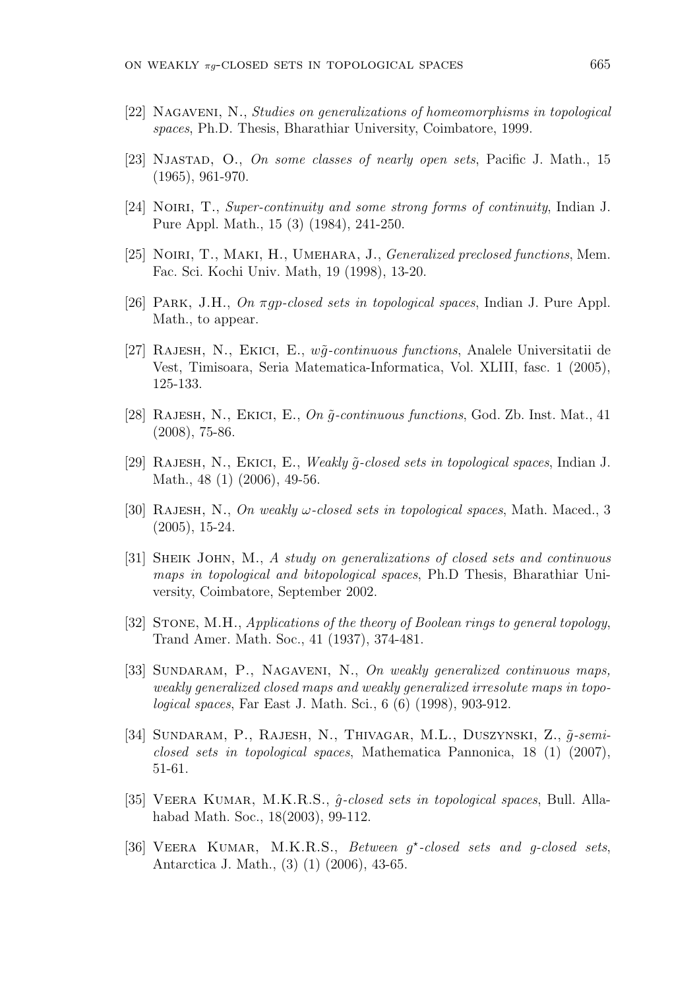- [22] Nagaveni, N., Studies on generalizations of homeomorphisms in topological spaces, Ph.D. Thesis, Bharathiar University, Coimbatore, 1999.
- [23] NJASTAD, O., On some classes of nearly open sets, Pacific J. Math., 15 (1965), 961-970.
- [24] NOIRI, T., Super-continuity and some strong forms of continuity, Indian J. Pure Appl. Math., 15 (3) (1984), 241-250.
- [25] NOIRI, T., MAKI, H., UMEHARA, J., Generalized preclosed functions, Mem. Fac. Sci. Kochi Univ. Math, 19 (1998), 13-20.
- [26] Park, J.H., On πgp-closed sets in topological spaces, Indian J. Pure Appl. Math., to appear.
- [27] RAJESH, N., EKICI, E.,  $w\tilde{q}$ -continuous functions, Analele Universitatii de Vest, Timisoara, Seria Matematica-Informatica, Vol. XLIII, fasc. 1 (2005), 125-133.
- [28] RAJESH, N., EKICI, E., On  $\tilde{q}$ -continuous functions, God. Zb. Inst. Mat., 41 (2008), 75-86.
- [29] RAJESH, N., EKICI, E., Weakly  $\tilde{q}$ -closed sets in topological spaces, Indian J. Math., 48 (1) (2006), 49-56.
- [30] RAJESH, N., On weakly  $\omega$ -closed sets in topological spaces, Math. Maced., 3 (2005), 15-24.
- [31] SHEIK JOHN, M., A study on generalizations of closed sets and continuous maps in topological and bitopological spaces, Ph.D Thesis, Bharathiar University, Coimbatore, September 2002.
- [32] STONE, M.H., Applications of the theory of Boolean rings to general topology, Trand Amer. Math. Soc., 41 (1937), 374-481.
- [33] SUNDARAM, P., NAGAVENI, N., On weakly generalized continuous maps, weakly generalized closed maps and weakly generalized irresolute maps in topological spaces, Far East J. Math. Sci., 6 (6) (1998), 903-912.
- [34] SUNDARAM, P., RAJESH, N., THIVAGAR, M.L., DUSZYNSKI, Z.,  $\tilde{q}$ -semiclosed sets in topological spaces, Mathematica Pannonica,  $18(1)(2007)$ , 51-61.
- [35] VEERA KUMAR, M.K.R.S.,  $\hat{g}\text{-closed sets in topological spaces}$ , Bull. Allahabad Math. Soc., 18(2003), 99-112.
- [36] VEERA KUMAR, M.K.R.S., Between g\*-closed sets and g-closed sets, Antarctica J. Math., (3) (1) (2006), 43-65.